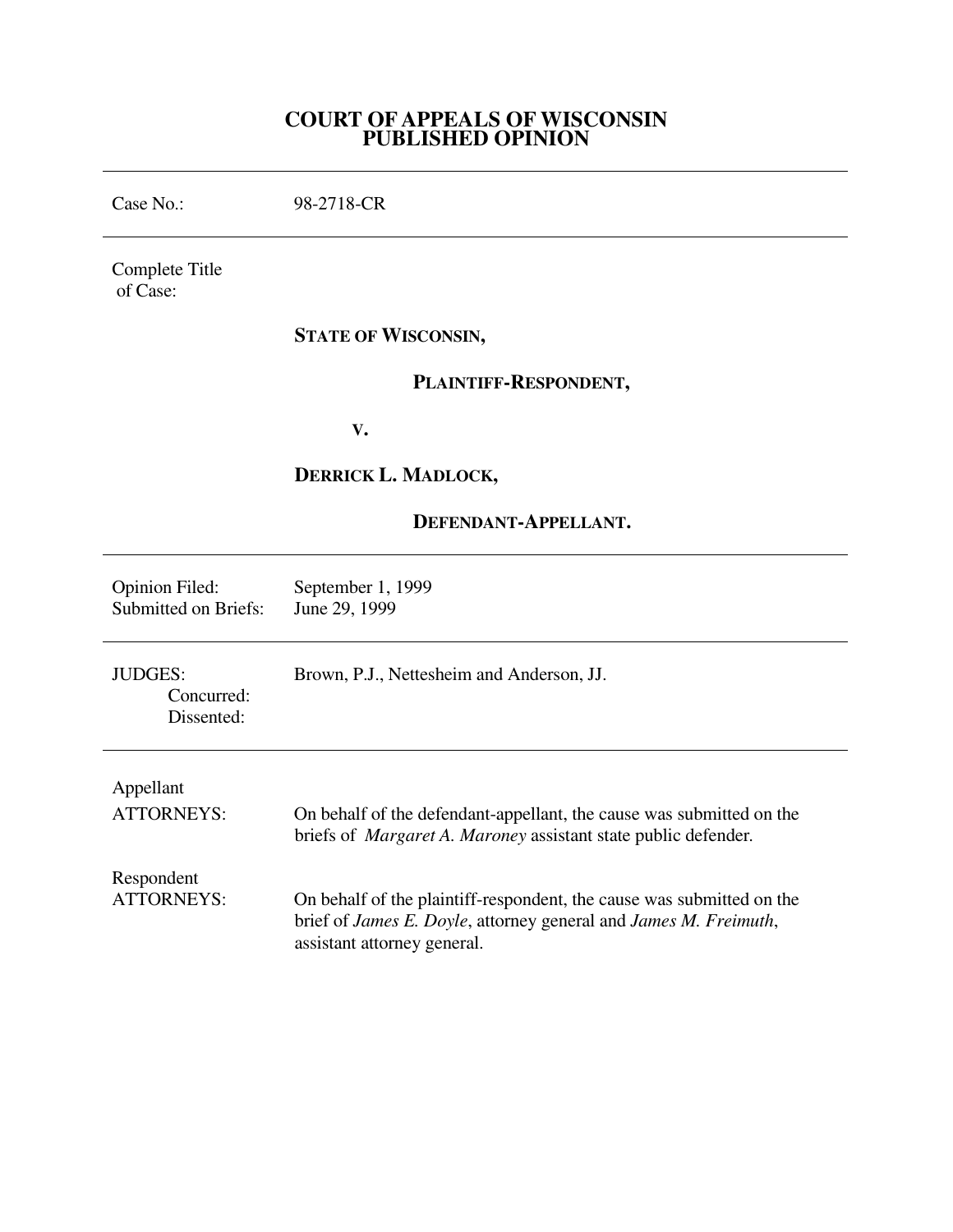## **COURT OF APPEALS OF WISCONSIN PUBLISHED OPINION**

Case No.: 98-2718-CR Complete Title of Case: **STATE OF WISCONSIN, PLAINTIFF-RESPONDENT, V. DERRICK L. MADLOCK, DEFENDANT-APPELLANT.** Opinion Filed: September 1, 1999<br>Submitted on Briefs: June 29, 1999 Submitted on Briefs: JUDGES: Brown, P.J., Nettesheim and Anderson, JJ. Concurred: Dissented: Appellant

| $1$ specifies                   | On behalf of the defendant-appellant, the cause was submitted on the                                                                                                     |
|---------------------------------|--------------------------------------------------------------------------------------------------------------------------------------------------------------------------|
| <b>ATTORNEYS:</b>               | briefs of <i>Margaret A. Maroney</i> assistant state public defender.                                                                                                    |
| Respondent<br><b>ATTORNEYS:</b> | On behalf of the plaintiff-respondent, the cause was submitted on the<br>brief of James E. Doyle, attorney general and James M. Freimuth,<br>assistant attorney general. |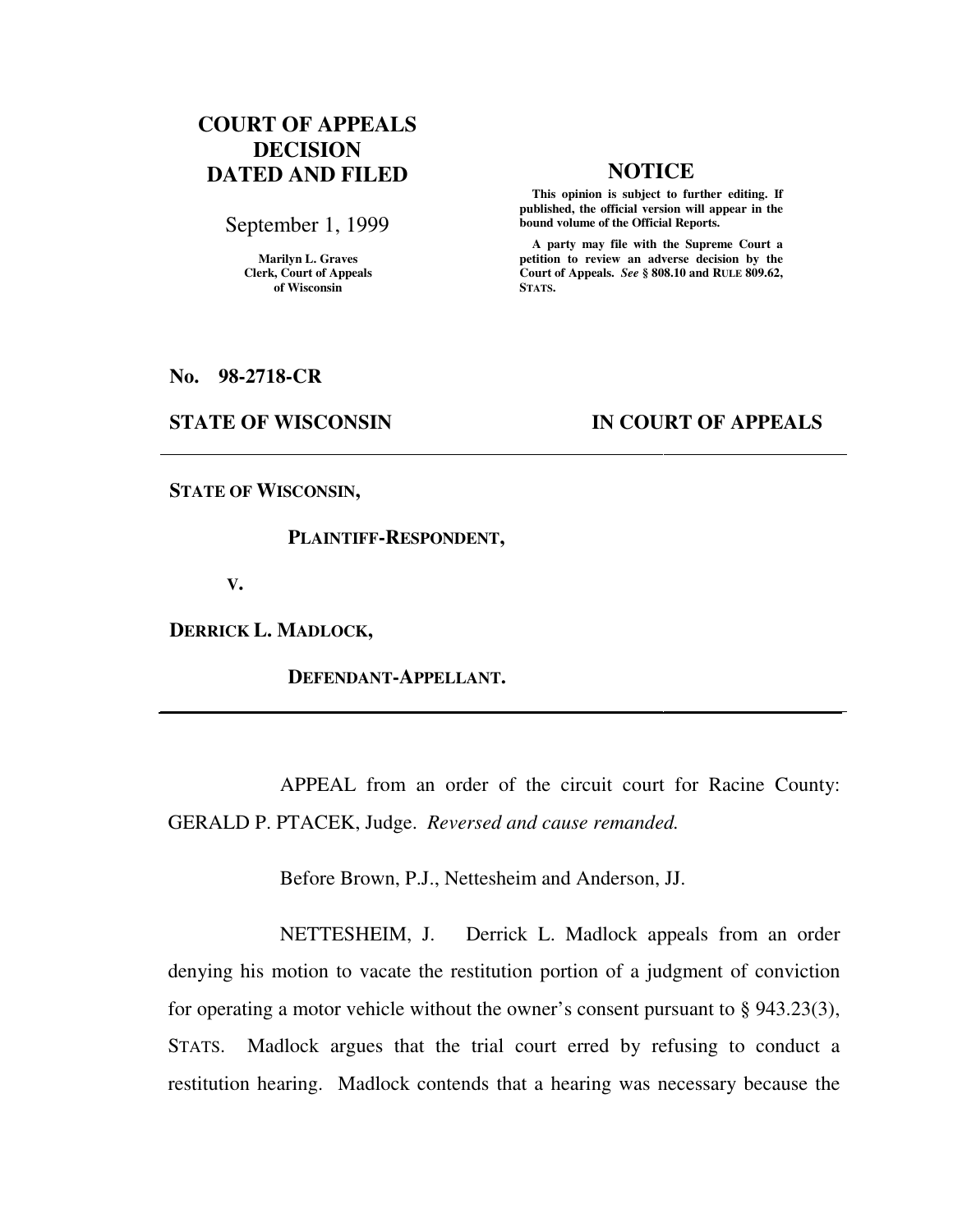# **COURT OF APPEALS DECISION DATED AND FILED NOTICE**

September 1, 1999

**Marilyn L. Graves Clerk, Court of Appeals of Wisconsin** 

 **This opinion is subject to further editing. If published, the official version will appear in the bound volume of the Official Reports.**

 **A party may file with the Supreme Court a petition to review an adverse decision by the Court of Appeals.** *See* **§ 808.10 and RULE 809.62, STATS.** 

**No. 98-2718-CR** 

### **STATE OF WISCONSIN IN COURT OF APPEALS**

**STATE OF WISCONSIN,** 

#### **PLAINTIFF-RESPONDENT,**

 **V.** 

**DERRICK L. MADLOCK,** 

 **DEFENDANT-APPELLANT.** 

 APPEAL from an order of the circuit court for Racine County: GERALD P. PTACEK, Judge. *Reversed and cause remanded.*

Before Brown, P.J., Nettesheim and Anderson, JJ.

 NETTESHEIM, J. Derrick L. Madlock appeals from an order denying his motion to vacate the restitution portion of a judgment of conviction for operating a motor vehicle without the owner's consent pursuant to § 943.23(3), STATS. Madlock argues that the trial court erred by refusing to conduct a restitution hearing. Madlock contends that a hearing was necessary because the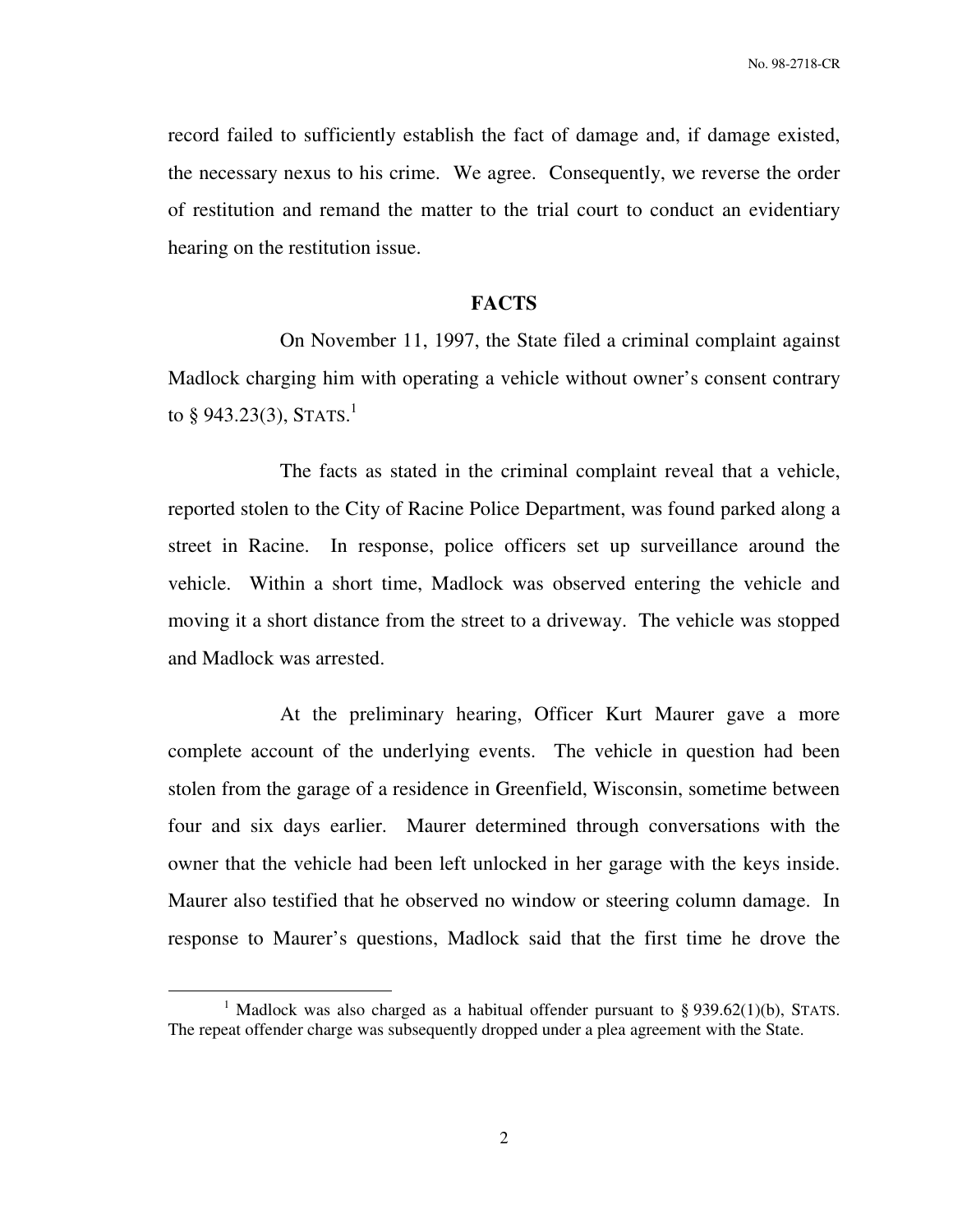No. 98-2718-CR

record failed to sufficiently establish the fact of damage and, if damage existed, the necessary nexus to his crime. We agree. Consequently, we reverse the order of restitution and remand the matter to the trial court to conduct an evidentiary hearing on the restitution issue.

## **FACTS**

 On November 11, 1997, the State filed a criminal complaint against Madlock charging him with operating a vehicle without owner's consent contrary to § 943.23(3), STATS.<sup>1</sup>

 The facts as stated in the criminal complaint reveal that a vehicle, reported stolen to the City of Racine Police Department, was found parked along a street in Racine. In response, police officers set up surveillance around the vehicle. Within a short time, Madlock was observed entering the vehicle and moving it a short distance from the street to a driveway. The vehicle was stopped and Madlock was arrested.

 At the preliminary hearing, Officer Kurt Maurer gave a more complete account of the underlying events. The vehicle in question had been stolen from the garage of a residence in Greenfield, Wisconsin, sometime between four and six days earlier. Maurer determined through conversations with the owner that the vehicle had been left unlocked in her garage with the keys inside. Maurer also testified that he observed no window or steering column damage. In response to Maurer's questions, Madlock said that the first time he drove the

 $\overline{a}$ 

<sup>&</sup>lt;sup>1</sup> Madlock was also charged as a habitual offender pursuant to § 939.62(1)(b), STATS. The repeat offender charge was subsequently dropped under a plea agreement with the State.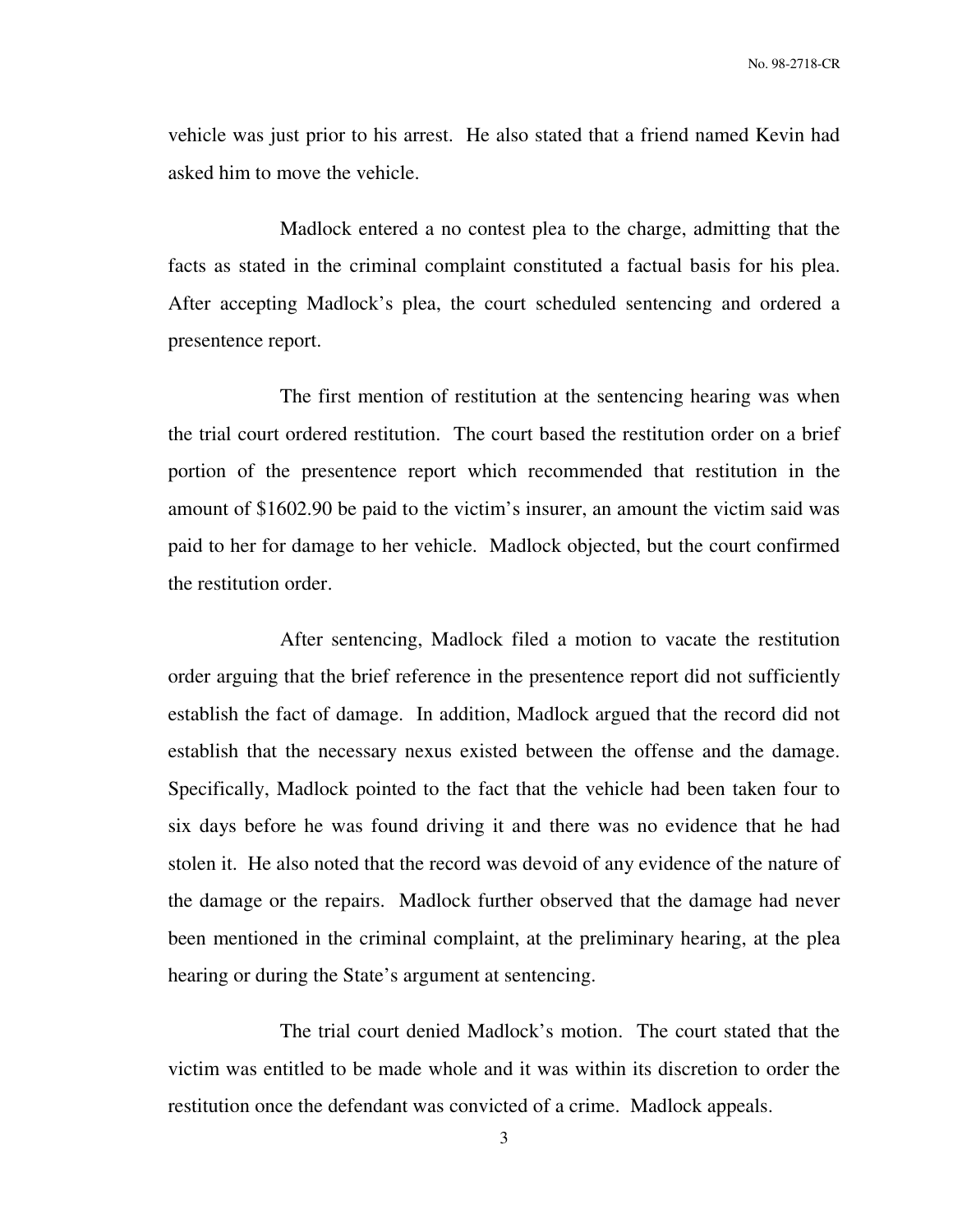vehicle was just prior to his arrest. He also stated that a friend named Kevin had asked him to move the vehicle.

 Madlock entered a no contest plea to the charge, admitting that the facts as stated in the criminal complaint constituted a factual basis for his plea. After accepting Madlock's plea, the court scheduled sentencing and ordered a presentence report.

 The first mention of restitution at the sentencing hearing was when the trial court ordered restitution. The court based the restitution order on a brief portion of the presentence report which recommended that restitution in the amount of \$1602.90 be paid to the victim's insurer, an amount the victim said was paid to her for damage to her vehicle. Madlock objected, but the court confirmed the restitution order.

 After sentencing, Madlock filed a motion to vacate the restitution order arguing that the brief reference in the presentence report did not sufficiently establish the fact of damage. In addition, Madlock argued that the record did not establish that the necessary nexus existed between the offense and the damage. Specifically, Madlock pointed to the fact that the vehicle had been taken four to six days before he was found driving it and there was no evidence that he had stolen it. He also noted that the record was devoid of any evidence of the nature of the damage or the repairs. Madlock further observed that the damage had never been mentioned in the criminal complaint, at the preliminary hearing, at the plea hearing or during the State's argument at sentencing.

 The trial court denied Madlock's motion. The court stated that the victim was entitled to be made whole and it was within its discretion to order the restitution once the defendant was convicted of a crime. Madlock appeals.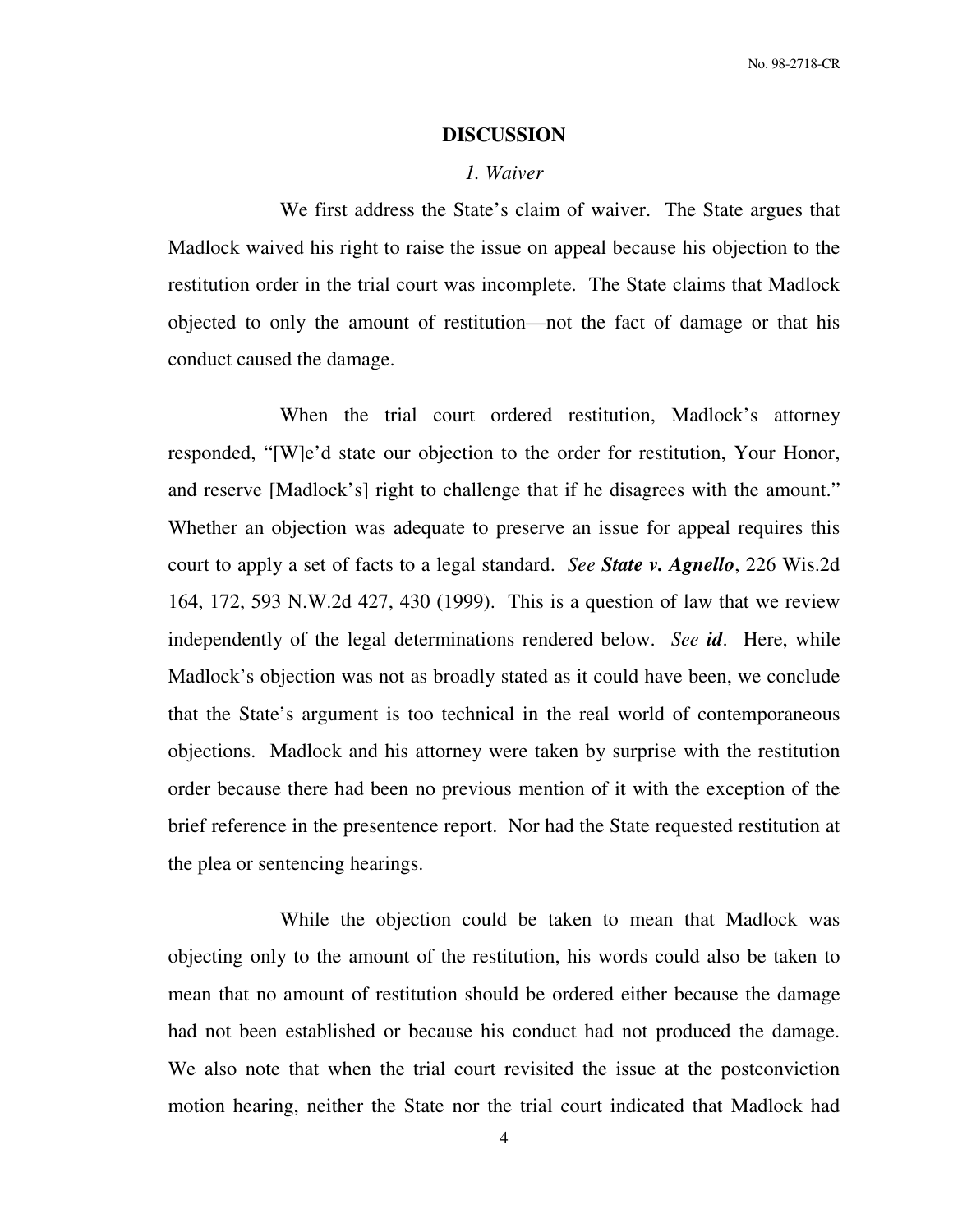#### **DISCUSSION**

#### *1. Waiver*

 We first address the State's claim of waiver. The State argues that Madlock waived his right to raise the issue on appeal because his objection to the restitution order in the trial court was incomplete. The State claims that Madlock objected to only the amount of restitution—not the fact of damage or that his conduct caused the damage.

 When the trial court ordered restitution, Madlock's attorney responded, "[W]e'd state our objection to the order for restitution, Your Honor, and reserve [Madlock's] right to challenge that if he disagrees with the amount." Whether an objection was adequate to preserve an issue for appeal requires this court to apply a set of facts to a legal standard. *See State v. Agnello*, 226 Wis.2d 164, 172, 593 N.W.2d 427, 430 (1999). This is a question of law that we review independently of the legal determinations rendered below. *See id*. Here, while Madlock's objection was not as broadly stated as it could have been, we conclude that the State's argument is too technical in the real world of contemporaneous objections. Madlock and his attorney were taken by surprise with the restitution order because there had been no previous mention of it with the exception of the brief reference in the presentence report. Nor had the State requested restitution at the plea or sentencing hearings.

 While the objection could be taken to mean that Madlock was objecting only to the amount of the restitution, his words could also be taken to mean that no amount of restitution should be ordered either because the damage had not been established or because his conduct had not produced the damage. We also note that when the trial court revisited the issue at the postconviction motion hearing, neither the State nor the trial court indicated that Madlock had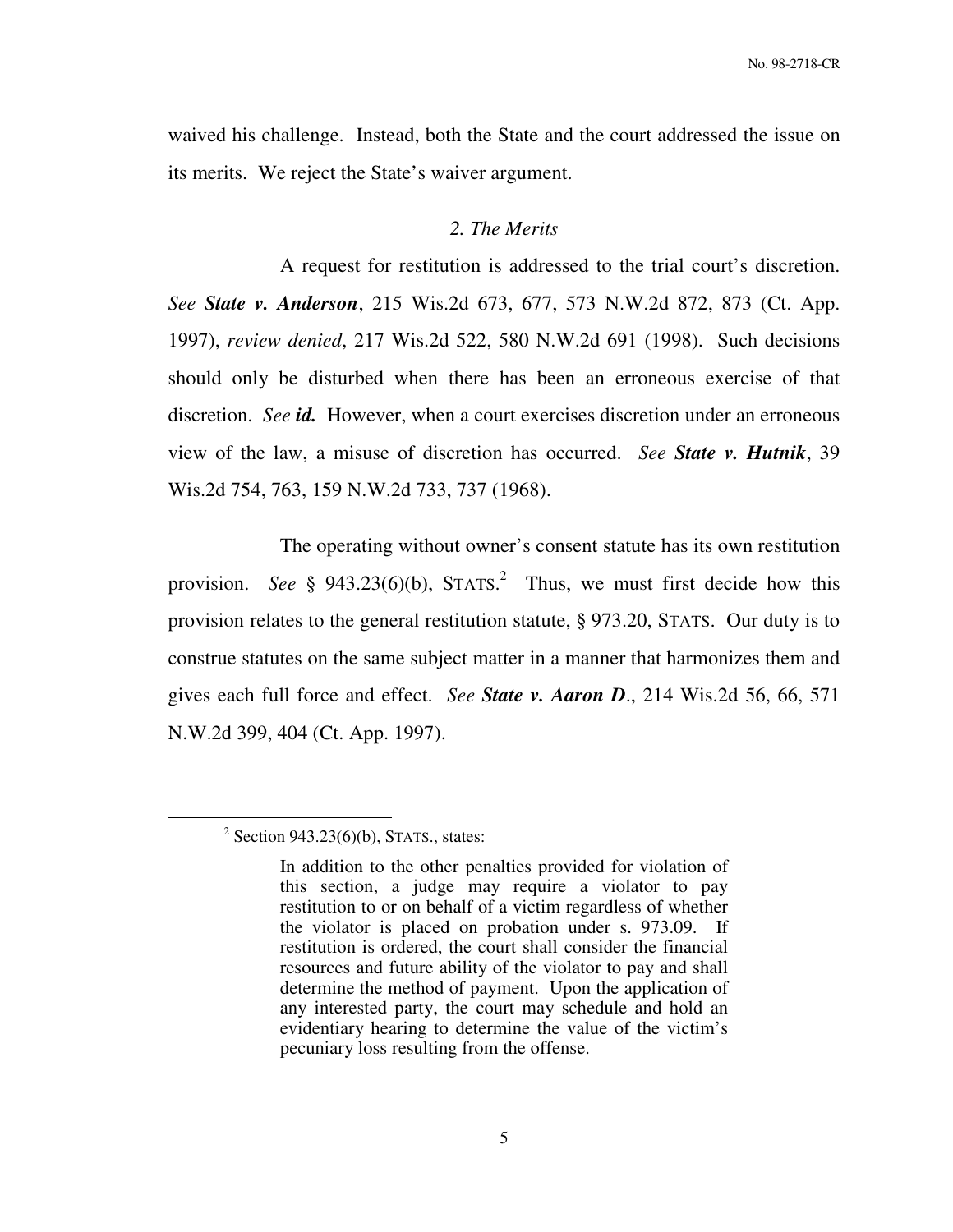waived his challenge. Instead, both the State and the court addressed the issue on its merits. We reject the State's waiver argument.

### *2. The Merits*

 A request for restitution is addressed to the trial court's discretion. *See State v. Anderson*, 215 Wis.2d 673, 677, 573 N.W.2d 872, 873 (Ct. App. 1997), *review denied*, 217 Wis.2d 522, 580 N.W.2d 691 (1998). Such decisions should only be disturbed when there has been an erroneous exercise of that discretion. *See id.* However, when a court exercises discretion under an erroneous view of the law, a misuse of discretion has occurred. *See State v. Hutnik*, 39 Wis.2d 754, 763, 159 N.W.2d 733, 737 (1968).

 The operating without owner's consent statute has its own restitution provision. See § 943.23(6)(b), STATS.<sup>2</sup> Thus, we must first decide how this provision relates to the general restitution statute, § 973.20, STATS. Our duty is to construe statutes on the same subject matter in a manner that harmonizes them and gives each full force and effect. *See State v. Aaron D*., 214 Wis.2d 56, 66, 571 N.W.2d 399, 404 (Ct. App. 1997).

 $\overline{a}$ 

 $2$  Section 943.23(6)(b), STATS., states:

In addition to the other penalties provided for violation of this section, a judge may require a violator to pay restitution to or on behalf of a victim regardless of whether the violator is placed on probation under s. 973.09. If restitution is ordered, the court shall consider the financial resources and future ability of the violator to pay and shall determine the method of payment. Upon the application of any interested party, the court may schedule and hold an evidentiary hearing to determine the value of the victim's pecuniary loss resulting from the offense.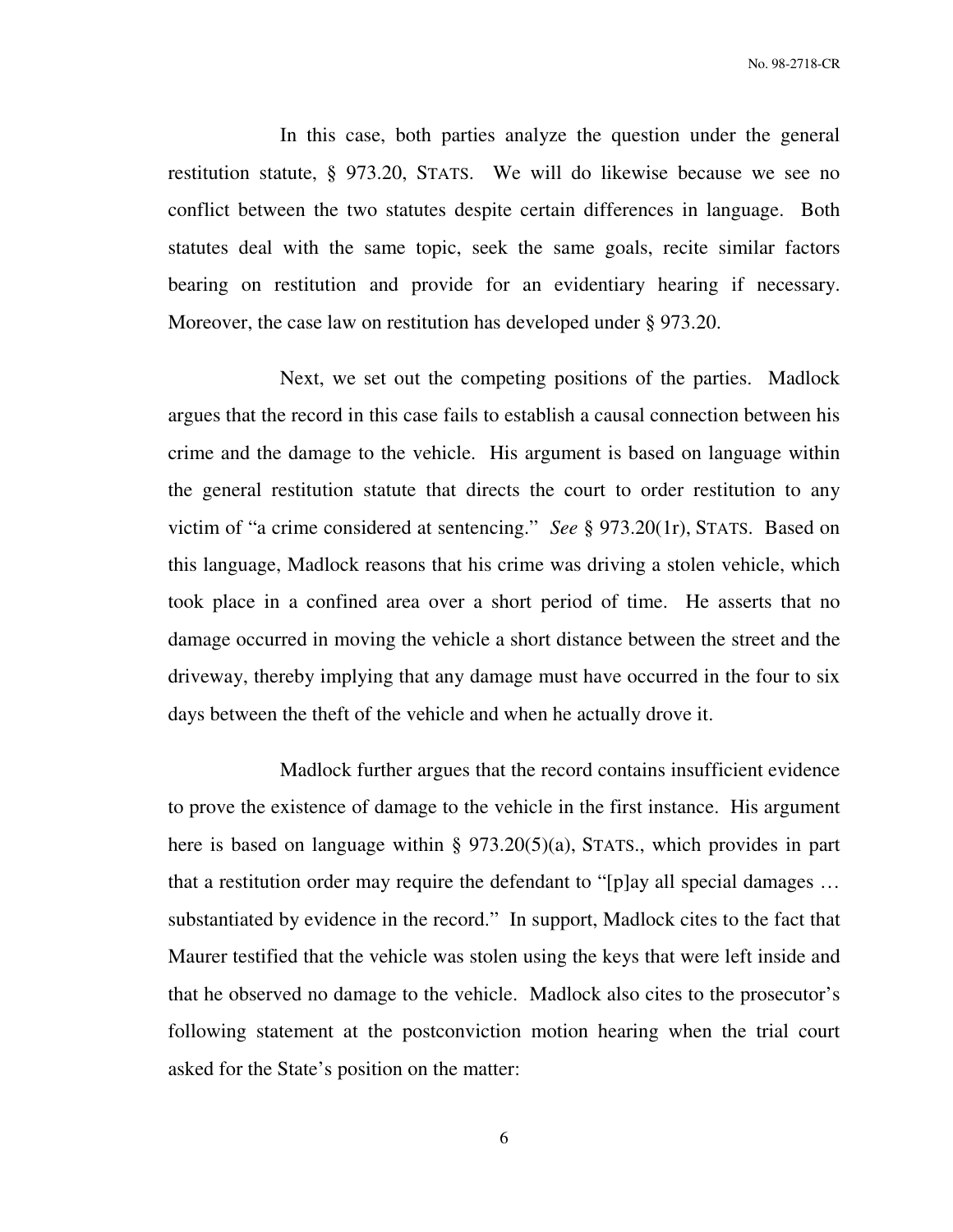No. 98-2718-CR

 In this case, both parties analyze the question under the general restitution statute, § 973.20, STATS. We will do likewise because we see no conflict between the two statutes despite certain differences in language. Both statutes deal with the same topic, seek the same goals, recite similar factors bearing on restitution and provide for an evidentiary hearing if necessary. Moreover, the case law on restitution has developed under § 973.20.

 Next, we set out the competing positions of the parties. Madlock argues that the record in this case fails to establish a causal connection between his crime and the damage to the vehicle. His argument is based on language within the general restitution statute that directs the court to order restitution to any victim of "a crime considered at sentencing." *See* § 973.20(1r), STATS. Based on this language, Madlock reasons that his crime was driving a stolen vehicle, which took place in a confined area over a short period of time. He asserts that no damage occurred in moving the vehicle a short distance between the street and the driveway, thereby implying that any damage must have occurred in the four to six days between the theft of the vehicle and when he actually drove it.

 Madlock further argues that the record contains insufficient evidence to prove the existence of damage to the vehicle in the first instance. His argument here is based on language within § 973.20(5)(a), STATS., which provides in part that a restitution order may require the defendant to "[p]ay all special damages … substantiated by evidence in the record." In support, Madlock cites to the fact that Maurer testified that the vehicle was stolen using the keys that were left inside and that he observed no damage to the vehicle. Madlock also cites to the prosecutor's following statement at the postconviction motion hearing when the trial court asked for the State's position on the matter:

6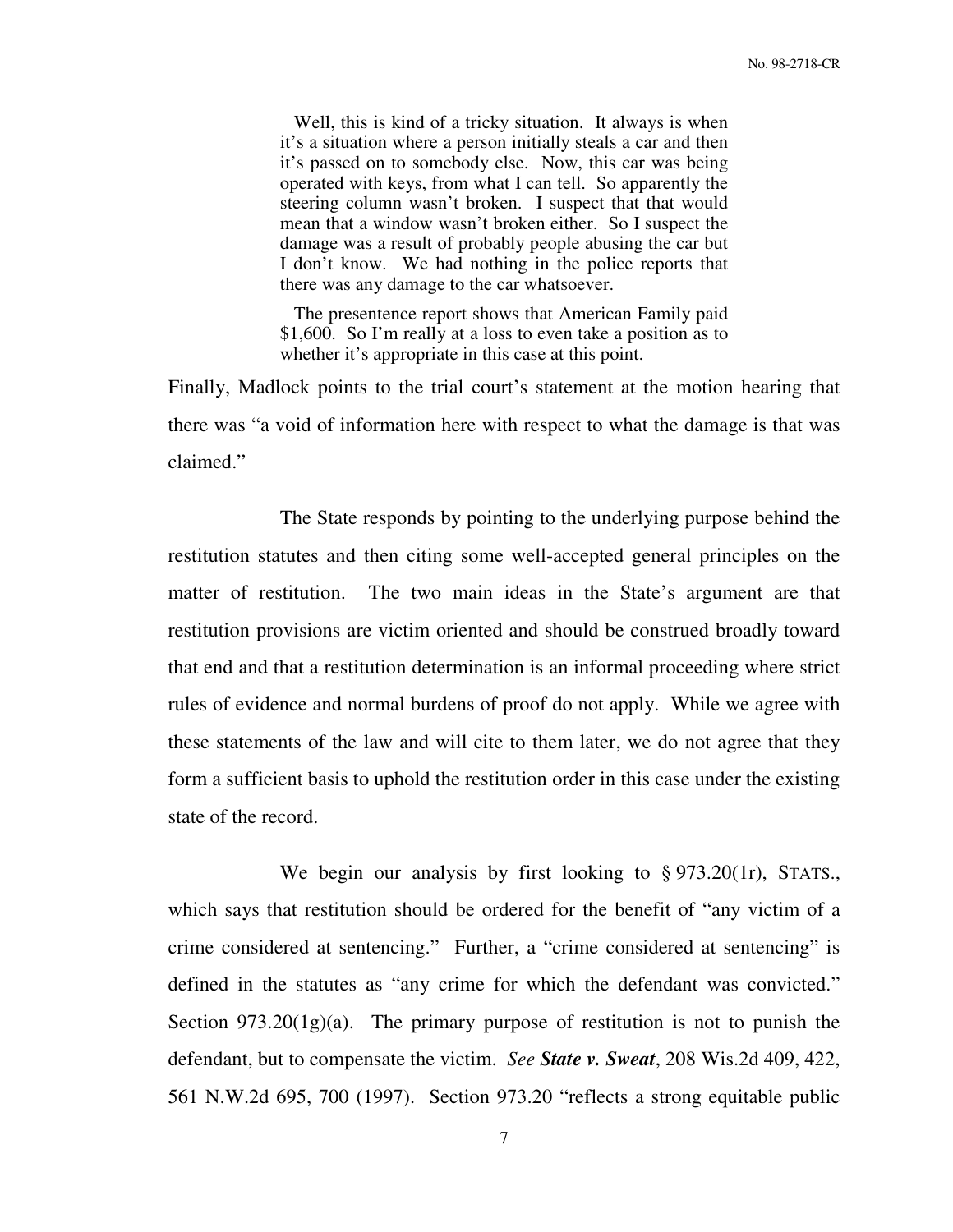Well, this is kind of a tricky situation. It always is when it's a situation where a person initially steals a car and then it's passed on to somebody else. Now, this car was being operated with keys, from what I can tell. So apparently the steering column wasn't broken. I suspect that that would mean that a window wasn't broken either. So I suspect the damage was a result of probably people abusing the car but I don't know. We had nothing in the police reports that there was any damage to the car whatsoever.

 The presentence report shows that American Family paid \$1,600. So I'm really at a loss to even take a position as to whether it's appropriate in this case at this point.

Finally, Madlock points to the trial court's statement at the motion hearing that there was "a void of information here with respect to what the damage is that was claimed."

 The State responds by pointing to the underlying purpose behind the restitution statutes and then citing some well-accepted general principles on the matter of restitution. The two main ideas in the State's argument are that restitution provisions are victim oriented and should be construed broadly toward that end and that a restitution determination is an informal proceeding where strict rules of evidence and normal burdens of proof do not apply. While we agree with these statements of the law and will cite to them later, we do not agree that they form a sufficient basis to uphold the restitution order in this case under the existing state of the record.

We begin our analysis by first looking to § 973.20(1r), STATS., which says that restitution should be ordered for the benefit of "any victim of a crime considered at sentencing." Further, a "crime considered at sentencing" is defined in the statutes as "any crime for which the defendant was convicted." Section  $973.20(1g)(a)$ . The primary purpose of restitution is not to punish the defendant, but to compensate the victim. *See State v. Sweat*, 208 Wis.2d 409, 422, 561 N.W.2d 695, 700 (1997). Section 973.20 "reflects a strong equitable public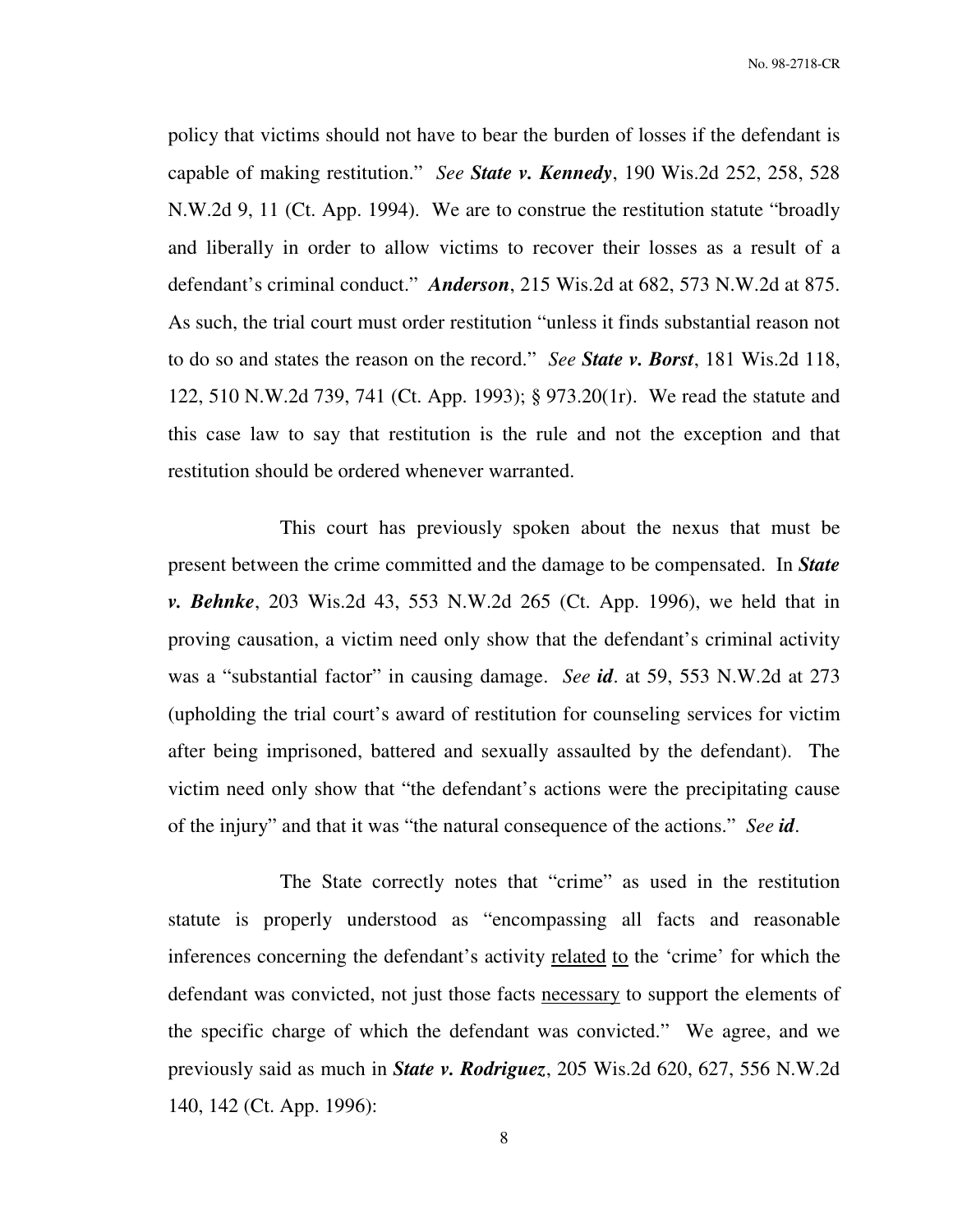policy that victims should not have to bear the burden of losses if the defendant is capable of making restitution." *See State v. Kennedy*, 190 Wis.2d 252, 258, 528 N.W.2d 9, 11 (Ct. App. 1994). We are to construe the restitution statute "broadly and liberally in order to allow victims to recover their losses as a result of a defendant's criminal conduct." *Anderson*, 215 Wis.2d at 682, 573 N.W.2d at 875. As such, the trial court must order restitution "unless it finds substantial reason not to do so and states the reason on the record." *See State v. Borst*, 181 Wis.2d 118, 122, 510 N.W.2d 739, 741 (Ct. App. 1993); § 973.20(1r). We read the statute and this case law to say that restitution is the rule and not the exception and that restitution should be ordered whenever warranted.

 This court has previously spoken about the nexus that must be present between the crime committed and the damage to be compensated. In *State v. Behnke*, 203 Wis.2d 43, 553 N.W.2d 265 (Ct. App. 1996), we held that in proving causation, a victim need only show that the defendant's criminal activity was a "substantial factor" in causing damage. *See id*. at 59, 553 N.W.2d at 273 (upholding the trial court's award of restitution for counseling services for victim after being imprisoned, battered and sexually assaulted by the defendant). The victim need only show that "the defendant's actions were the precipitating cause of the injury" and that it was "the natural consequence of the actions." *See id*.

 The State correctly notes that "crime" as used in the restitution statute is properly understood as "encompassing all facts and reasonable inferences concerning the defendant's activity related to the 'crime' for which the defendant was convicted, not just those facts necessary to support the elements of the specific charge of which the defendant was convicted." We agree, and we previously said as much in *State v. Rodriguez*, 205 Wis.2d 620, 627, 556 N.W.2d 140, 142 (Ct. App. 1996):

8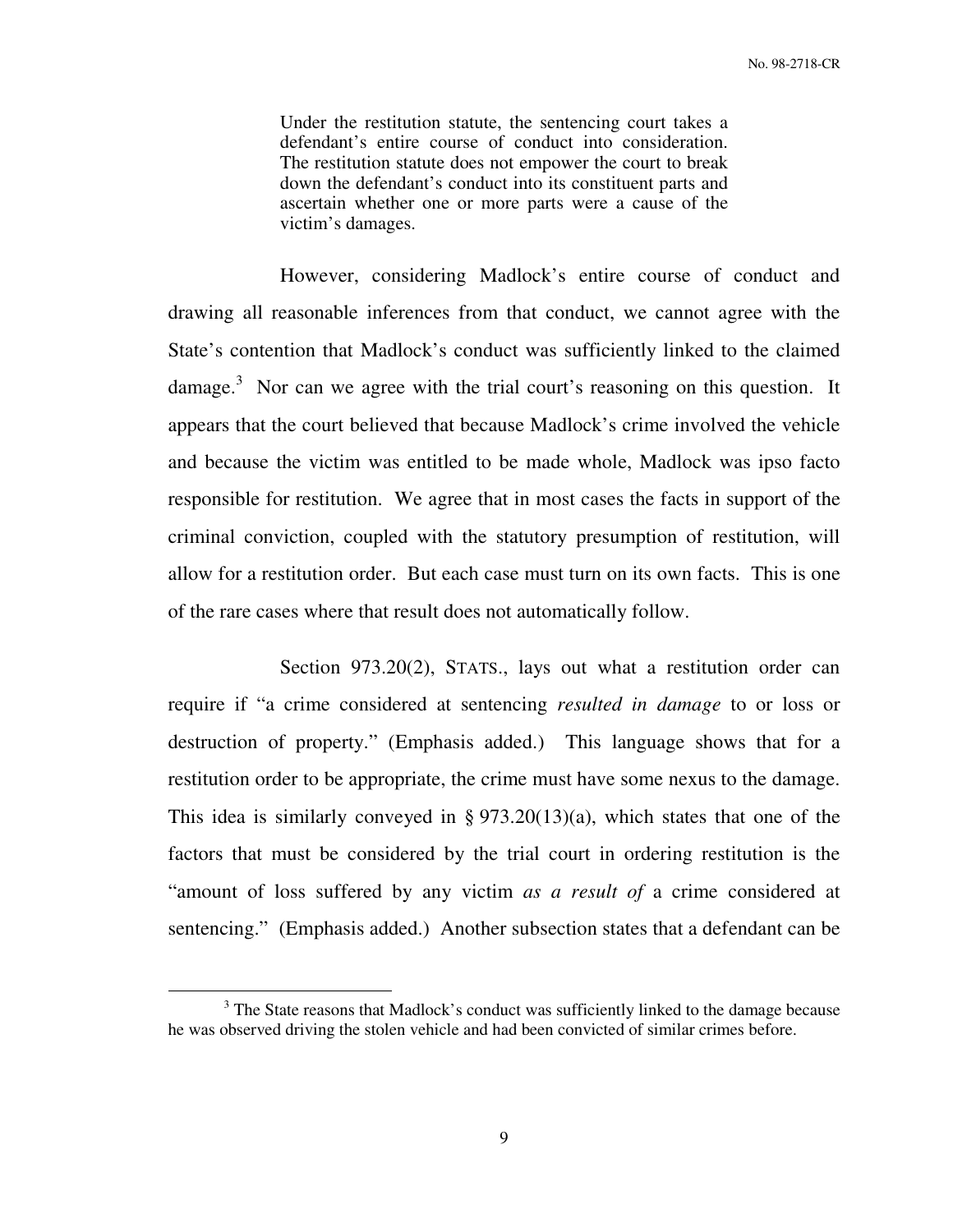Under the restitution statute, the sentencing court takes a defendant's entire course of conduct into consideration. The restitution statute does not empower the court to break down the defendant's conduct into its constituent parts and ascertain whether one or more parts were a cause of the victim's damages.

 However, considering Madlock's entire course of conduct and drawing all reasonable inferences from that conduct, we cannot agree with the State's contention that Madlock's conduct was sufficiently linked to the claimed damage.<sup>3</sup> Nor can we agree with the trial court's reasoning on this question. It appears that the court believed that because Madlock's crime involved the vehicle and because the victim was entitled to be made whole, Madlock was ipso facto responsible for restitution. We agree that in most cases the facts in support of the criminal conviction, coupled with the statutory presumption of restitution, will allow for a restitution order. But each case must turn on its own facts. This is one of the rare cases where that result does not automatically follow.

Section 973.20(2), STATS., lays out what a restitution order can require if "a crime considered at sentencing *resulted in damage* to or loss or destruction of property." (Emphasis added.) This language shows that for a restitution order to be appropriate, the crime must have some nexus to the damage. This idea is similarly conveyed in  $\S 973.20(13)(a)$ , which states that one of the factors that must be considered by the trial court in ordering restitution is the "amount of loss suffered by any victim *as a result of* a crime considered at sentencing." (Emphasis added.) Another subsection states that a defendant can be

 $\overline{a}$ 

<sup>&</sup>lt;sup>3</sup> The State reasons that Madlock's conduct was sufficiently linked to the damage because he was observed driving the stolen vehicle and had been convicted of similar crimes before.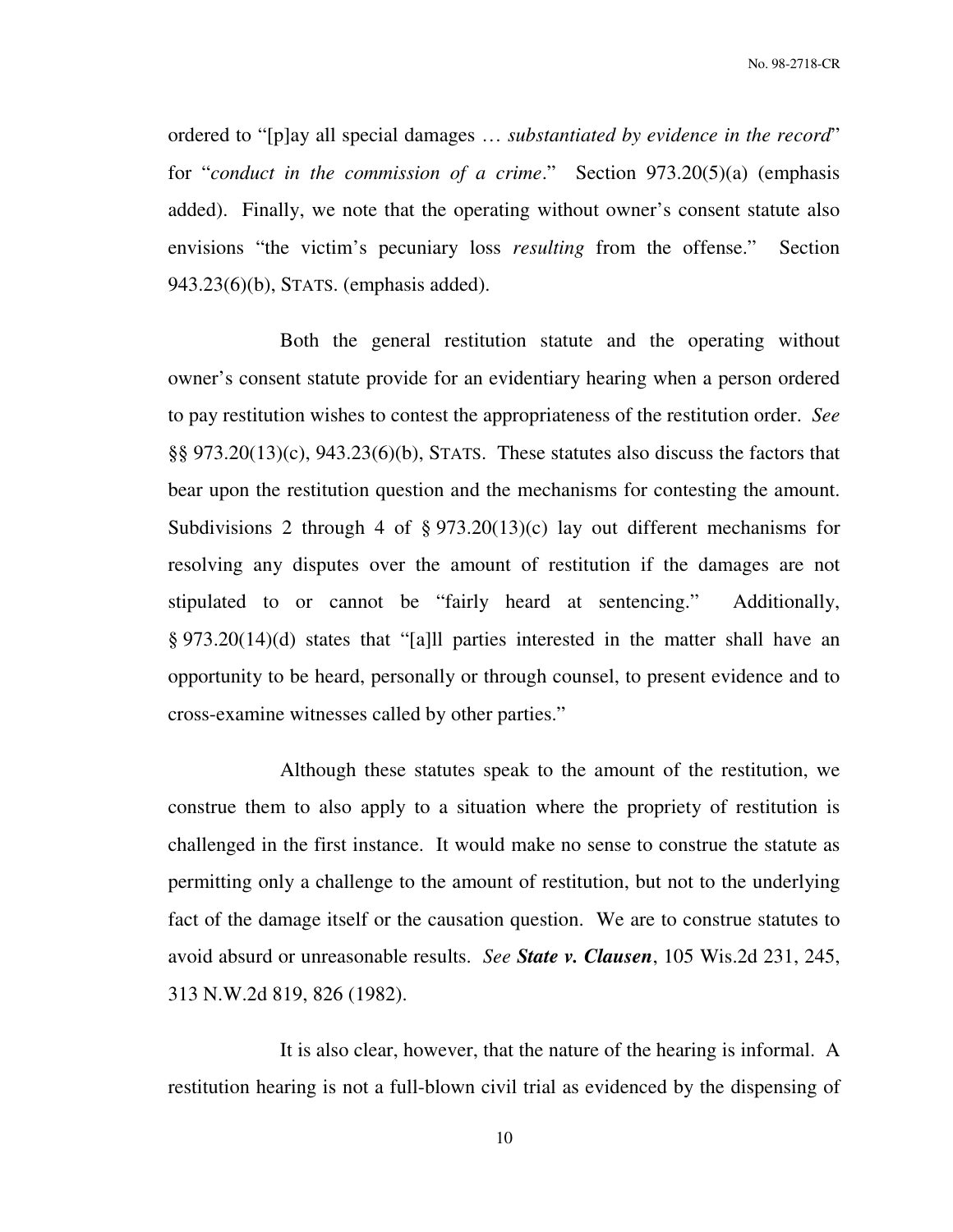ordered to "[p]ay all special damages … *substantiated by evidence in the record*" for "*conduct in the commission of a crime*." Section 973.20(5)(a) (emphasis added). Finally, we note that the operating without owner's consent statute also envisions "the victim's pecuniary loss *resulting* from the offense." Section 943.23(6)(b), STATS. (emphasis added).

 Both the general restitution statute and the operating without owner's consent statute provide for an evidentiary hearing when a person ordered to pay restitution wishes to contest the appropriateness of the restitution order. *See* §§ 973.20(13)(c), 943.23(6)(b), STATS. These statutes also discuss the factors that bear upon the restitution question and the mechanisms for contesting the amount. Subdivisions 2 through 4 of  $\S 973.20(13)(c)$  lay out different mechanisms for resolving any disputes over the amount of restitution if the damages are not stipulated to or cannot be "fairly heard at sentencing." Additionally, § 973.20(14)(d) states that "[a]ll parties interested in the matter shall have an opportunity to be heard, personally or through counsel, to present evidence and to cross-examine witnesses called by other parties."

 Although these statutes speak to the amount of the restitution, we construe them to also apply to a situation where the propriety of restitution is challenged in the first instance. It would make no sense to construe the statute as permitting only a challenge to the amount of restitution, but not to the underlying fact of the damage itself or the causation question. We are to construe statutes to avoid absurd or unreasonable results. *See State v. Clausen*, 105 Wis.2d 231, 245, 313 N.W.2d 819, 826 (1982).

 It is also clear, however, that the nature of the hearing is informal. A restitution hearing is not a full-blown civil trial as evidenced by the dispensing of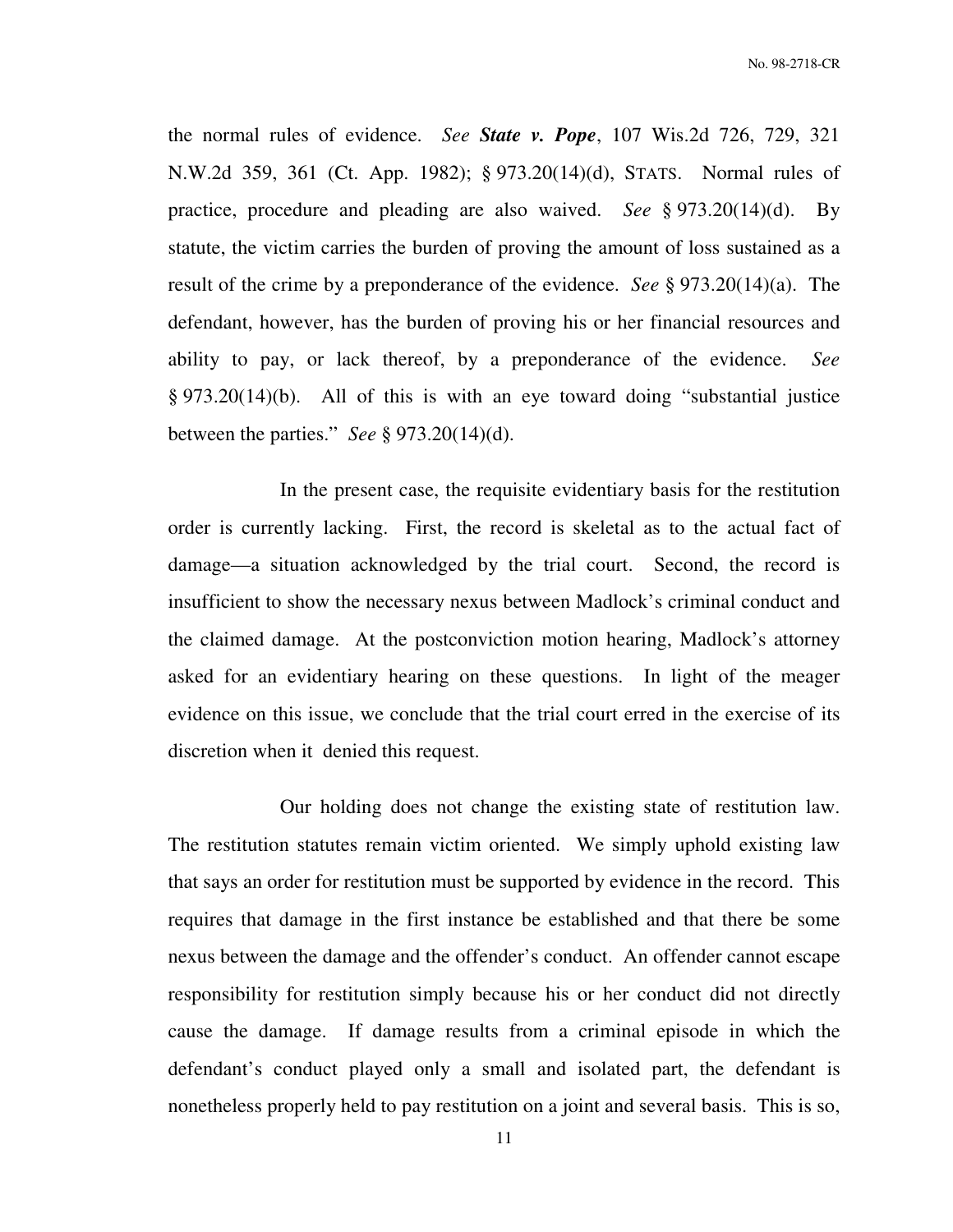No. 98-2718-CR

the normal rules of evidence. *See State v. Pope*, 107 Wis.2d 726, 729, 321 N.W.2d 359, 361 (Ct. App. 1982); § 973.20(14)(d), STATS. Normal rules of practice, procedure and pleading are also waived. *See* § 973.20(14)(d). By statute, the victim carries the burden of proving the amount of loss sustained as a result of the crime by a preponderance of the evidence. *See* § 973.20(14)(a). The defendant, however, has the burden of proving his or her financial resources and ability to pay, or lack thereof, by a preponderance of the evidence. *See* § 973.20(14)(b). All of this is with an eye toward doing "substantial justice between the parties." *See* § 973.20(14)(d).

 In the present case, the requisite evidentiary basis for the restitution order is currently lacking. First, the record is skeletal as to the actual fact of damage—a situation acknowledged by the trial court. Second, the record is insufficient to show the necessary nexus between Madlock's criminal conduct and the claimed damage. At the postconviction motion hearing, Madlock's attorney asked for an evidentiary hearing on these questions. In light of the meager evidence on this issue, we conclude that the trial court erred in the exercise of its discretion when it denied this request.

 Our holding does not change the existing state of restitution law. The restitution statutes remain victim oriented. We simply uphold existing law that says an order for restitution must be supported by evidence in the record. This requires that damage in the first instance be established and that there be some nexus between the damage and the offender's conduct. An offender cannot escape responsibility for restitution simply because his or her conduct did not directly cause the damage. If damage results from a criminal episode in which the defendant's conduct played only a small and isolated part, the defendant is nonetheless properly held to pay restitution on a joint and several basis. This is so,